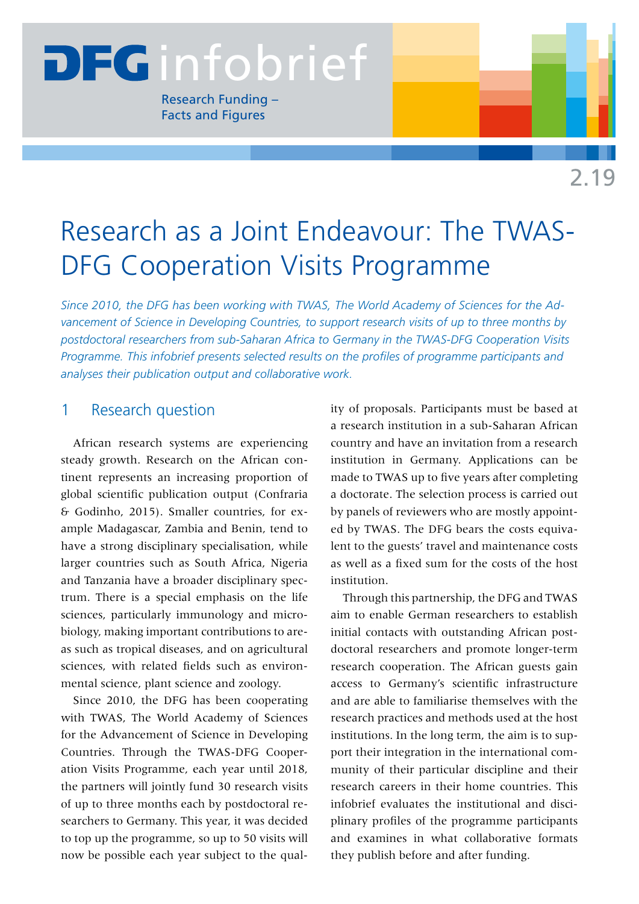# **DEGi**nfobrief

Research Funding – Facts and Figures

# Research as a Joint Endeavour: The TWAS-DFG Cooperation Visits Programme

*Since 2010, the DFG has been working with TWAS, The World Academy of Sciences for the Advancement of Science in Developing Countries, to support research visits of up to three months by postdoctoral researchers from sub-Saharan Africa to Germany in the TWAS-DFG Cooperation Visits Programme. This infobrief presents selected results on the profiles of programme participants and analyses their publication output and collaborative work.*

# 1 Research question

African research systems are experiencing steady growth. Research on the African continent represents an increasing proportion of global scientific publication output (Confraria & Godinho, 2015). Smaller countries, for example Madagascar, Zambia and Benin, tend to have a strong disciplinary specialisation, while larger countries such as South Africa, Nigeria and Tanzania have a broader disciplinary spectrum. There is a special emphasis on the life sciences, particularly immunology and microbiology, making important contributions to areas such as tropical diseases, and on agricultural sciences, with related fields such as environmental science, plant science and zoology.

Since 2010, the DFG has been cooperating with TWAS, The World Academy of Sciences for the Advancement of Science in Developing Countries. Through the TWAS-DFG Cooperation Visits Programme, each year until 2018, the partners will jointly fund 30 research visits of up to three months each by postdoctoral researchers to Germany. This year, it was decided to top up the programme, so up to 50 visits will now be possible each year subject to the quality of proposals. Participants must be based at a research institution in a sub-Saharan African country and have an invitation from a research institution in Germany. Applications can be made to TWAS up to five years after completing a doctorate. The selection process is carried out by panels of reviewers who are mostly appointed by TWAS. The DFG bears the costs equivalent to the guests' travel and maintenance costs as well as a fixed sum for the costs of the host institution.

Through this partnership, the DFG and TWAS aim to enable German researchers to establish initial contacts with outstanding African postdoctoral researchers and promote longer-term research cooperation. The African guests gain access to Germany's scientific infrastructure and are able to familiarise themselves with the research practices and methods used at the host institutions. In the long term, the aim is to support their integration in the international community of their particular discipline and their research careers in their home countries. This infobrief evaluates the institutional and disciplinary profiles of the programme participants and examines in what collaborative formats they publish before and after funding.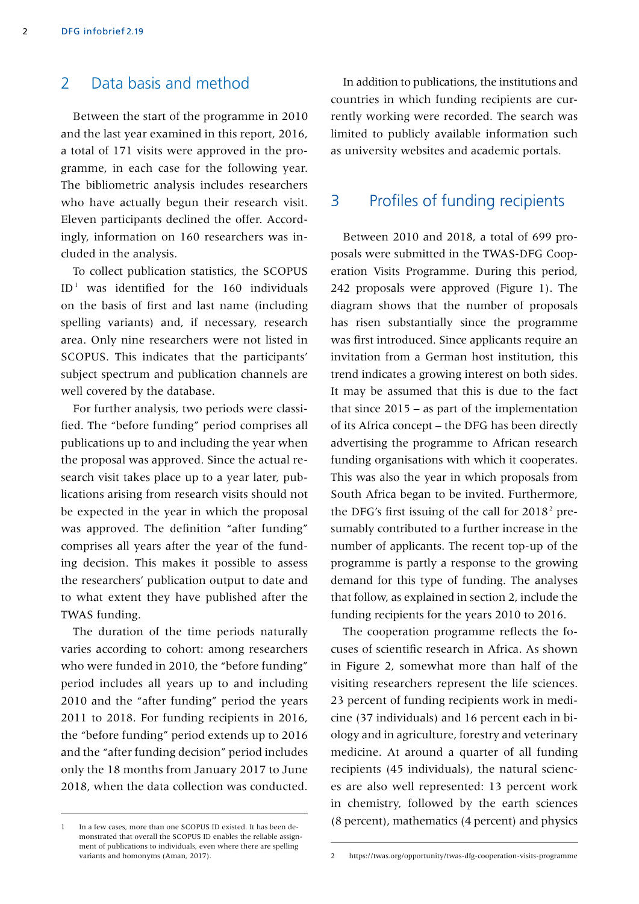### 2 Data basis and method

Between the start of the programme in 2010 and the last year examined in this report, 2016, a total of 171 visits were approved in the programme, in each case for the following year. The bibliometric analysis includes researchers who have actually begun their research visit. Eleven participants declined the offer. Accordingly, information on 160 researchers was included in the analysis.

To collect publication statistics, the SCOPUS  $ID<sup>-1</sup>$  was identified for the 160 individuals on the basis of first and last name (including spelling variants) and, if necessary, research area. Only nine researchers were not listed in SCOPUS. This indicates that the participants' subject spectrum and publication channels are well covered by the database.

For further analysis, two periods were classified. The "before funding" period comprises all publications up to and including the year when the proposal was approved. Since the actual research visit takes place up to a year later, publications arising from research visits should not be expected in the year in which the proposal was approved. The definition "after funding" comprises all years after the year of the funding decision. This makes it possible to assess the researchers' publication output to date and to what extent they have published after the TWAS funding.

The duration of the time periods naturally varies according to cohort: among researchers who were funded in 2010, the "before funding" period includes all years up to and including 2010 and the "after funding" period the years 2011 to 2018. For funding recipients in 2016, the "before funding" period extends up to 2016 and the "after funding decision" period includes only the 18 months from January 2017 to June 2018, when the data collection was conducted.

1 In a few cases, more than one SCOPUS ID existed. It has been demonstrated that overall the SCOPUS ID enables the reliable assignment of publications to individuals, even where there are spelling variants and homonyms (Aman, 2017).

In addition to publications, the institutions and countries in which funding recipients are currently working were recorded. The search was limited to publicly available information such as university websites and academic portals.

## 3 Profiles of funding recipients

Between 2010 and 2018, a total of 699 proposals were submitted in the TWAS-DFG Cooperation Visits Programme. During this period, 242 proposals were approved (Figure 1). The diagram shows that the number of proposals has risen substantially since the programme was first introduced. Since applicants require an invitation from a German host institution, this trend indicates a growing interest on both sides. It may be assumed that this is due to the fact that since  $2015 - as$  part of the implementation of its Africa concept – the DFG has been directly advertising the programme to African research funding organisations with which it cooperates. This was also the year in which proposals from South Africa began to be invited. Furthermore, the DFG's first issuing of the call for  $2018<sup>2</sup>$  presumably contributed to a further increase in the number of applicants. The recent top-up of the programme is partly a response to the growing demand for this type of funding. The analyses that follow, as explained in section 2, include the funding recipients for the years 2010 to 2016.

The cooperation programme reflects the focuses of scientific research in Africa. As shown in Figure 2, somewhat more than half of the visiting researchers represent the life sciences. 23 percent of funding recipients work in medicine (37 individuals) and 16 percent each in biology and in agriculture, forestry and veterinary medicine. At around a quarter of all funding recipients (45 individuals), the natural sciences are also well represented: 13 percent work in chemistry, followed by the earth sciences (8 percent), mathematics (4 percent) and physics

<sup>2</sup> https://twas.org/opportunity/twas-dfg-cooperation-visits-programme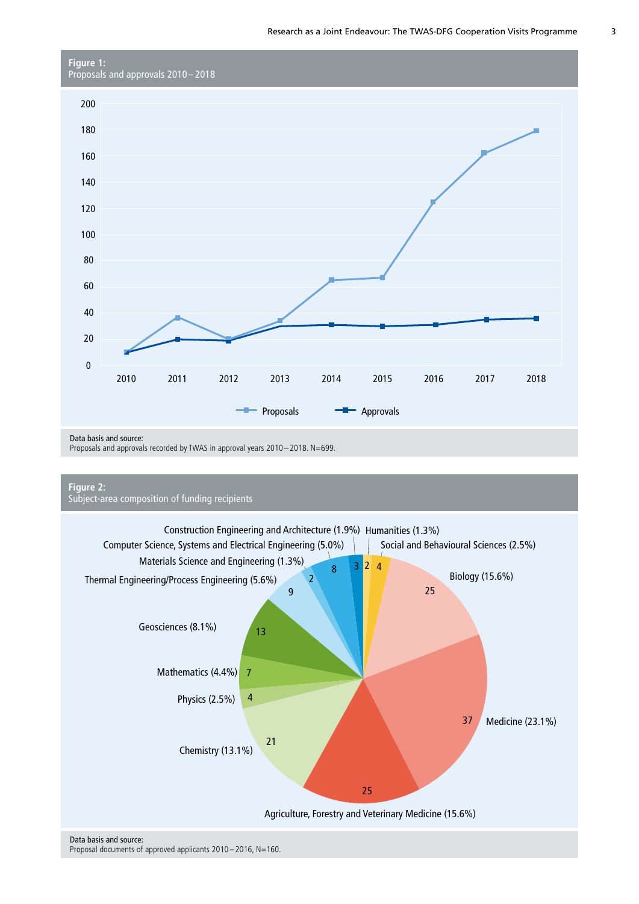

Data basis and source:

Proposals and approvals recorded by TWAS in approval years 2010 – 2018. N=699.





Proposal documents of approved applicants 2010 – 2016, N=160.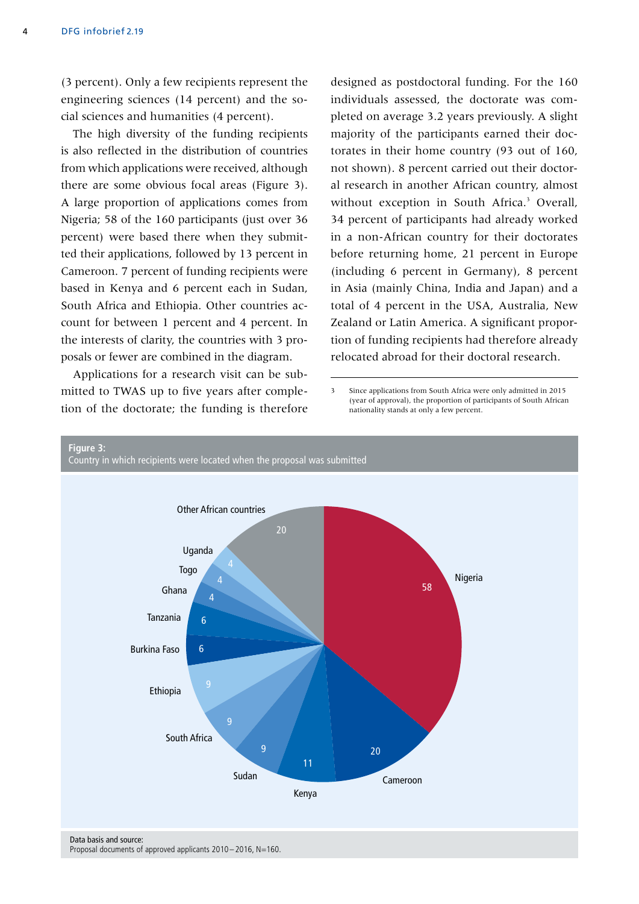(3 percent). Only a few recipients represent the engineering sciences (14 percent) and the social sciences and humanities (4 percent).

The high diversity of the funding recipients is also reflected in the distribution of countries from which applications were received, although there are some obvious focal areas (Figure 3). A large proportion of applications comes from Nigeria; 58 of the 160 participants (just over 36 percent) were based there when they submitted their applications, followed by 13 percent in Cameroon. 7 percent of funding recipients were based in Kenya and 6 percent each in Sudan, South Africa and Ethiopia. Other countries account for between 1 percent and 4 percent. In the interests of clarity, the countries with 3 proposals or fewer are combined in the diagram.

Applications for a research visit can be submitted to TWAS up to five years after completion of the doctorate; the funding is therefore designed as postdoctoral funding. For the 160 individuals assessed, the doctorate was completed on average 3.2 years previously. A slight majority of the participants earned their doctorates in their home country (93 out of 160, not shown). 8 percent carried out their doctoral research in another African country, almost without exception in South Africa.<sup>3</sup> Overall, 34 percent of participants had already worked in a non-African country for their doctorates before returning home, 21 percent in Europe (including 6 percent in Germany), 8 percent in Asia (mainly China, India and Japan) and a total of 4 percent in the USA, Australia, New Zealand or Latin America. A significant proportion of funding recipients had therefore already relocated abroad for their doctoral research.

3 Since applications from South Africa were only admitted in 2015 (year of approval), the proportion of participants of South African nationality stands at only a few percent.



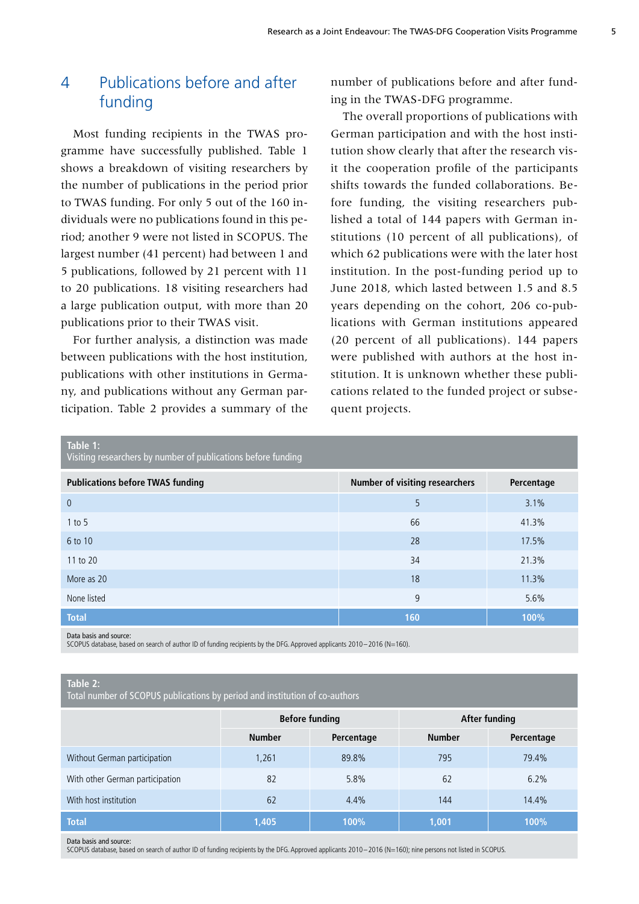# 4 Publications before and after funding

Most funding recipients in the TWAS programme have successfully published. Table 1 shows a breakdown of visiting researchers by the number of publications in the period prior to TWAS funding. For only 5 out of the 160 individuals were no publications found in this period; another 9 were not listed in SCOPUS. The largest number (41 percent) had between 1 and 5 publications, followed by 21 percent with 11 to 20 publications. 18 visiting researchers had a large publication output, with more than 20 publications prior to their TWAS visit.

For further analysis, a distinction was made between publications with the host institution, publications with other institutions in Germany, and publications without any German participation. Table 2 provides a summary of the number of publications before and after funding in the TWAS-DFG programme.

The overall proportions of publications with German participation and with the host institution show clearly that after the research visit the cooperation profile of the participants shifts towards the funded collaborations. Before funding, the visiting researchers published a total of 144 papers with German institutions (10 percent of all publications), of which 62 publications were with the later host institution. In the post-funding period up to June 2018, which lasted between 1.5 and 8.5 years depending on the cohort, 206 co-publications with German institutions appeared (20 percent of all publications). 144 papers were published with authors at the host institution. It is unknown whether these publications related to the funded project or subsequent projects.

| Table 1:<br>Visiting researchers by number of publications before funding |                                       |            |  |  |
|---------------------------------------------------------------------------|---------------------------------------|------------|--|--|
| <b>Publications before TWAS funding</b>                                   | <b>Number of visiting researchers</b> | Percentage |  |  |
| $\overline{0}$                                                            | 5                                     | 3.1%       |  |  |
| $1$ to 5                                                                  | 66                                    | 41.3%      |  |  |
| 6 to 10                                                                   | 28                                    | 17.5%      |  |  |
| 11 to 20                                                                  | 34                                    | 21.3%      |  |  |
| More as 20                                                                | 18                                    | 11.3%      |  |  |
| None listed                                                               | 9                                     | 5.6%       |  |  |
| <b>Total</b>                                                              | 160                                   | 100%       |  |  |

Data basis and source:

SCOPUS database, based on search of author ID of funding recipients by the DFG. Approved applicants 2010– 2016 (N=160).

#### **Table 2:**

Total number of SCOPUS publications by period and institution of co-authors

|                                 | <b>Before funding</b> |            | After funding |            |
|---------------------------------|-----------------------|------------|---------------|------------|
|                                 | <b>Number</b>         | Percentage | <b>Number</b> | Percentage |
| Without German participation    | 1,261                 | 89.8%      | 795           | 79.4%      |
| With other German participation | 82                    | 5.8%       | 62            | 6.2%       |
| With host institution           | 62                    | 4.4%       | 144           | 14.4%      |
| <b>Total</b>                    | 1,405                 | 100%       | 1,001         | 100%       |

Data basis and source:

SCOPUS database, based on search of author ID of funding recipients by the DFG. Approved applicants 2010– 2016 (N=160); nine persons not listed in SCOPUS.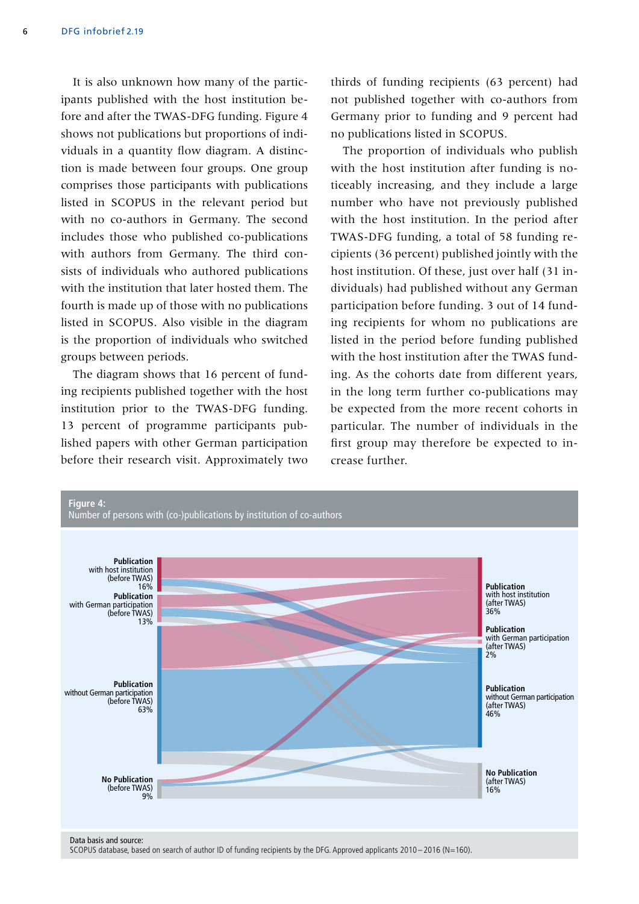It is also unknown how many of the participants published with the host institution before and after the TWAS-DFG funding. Figure 4 shows not publications but proportions of individuals in a quantity flow diagram. A distinction is made between four groups. One group comprises those participants with publications listed in SCOPUS in the relevant period but with no co-authors in Germany. The second includes those who published co-publications with authors from Germany. The third consists of individuals who authored publications with the institution that later hosted them. The fourth is made up of those with no publications listed in SCOPUS. Also visible in the diagram is the proportion of individuals who switched groups between periods.

The diagram shows that 16 percent of funding recipients published together with the host institution prior to the TWAS-DFG funding. 13 percent of programme participants published papers with other German participation before their research visit. Approximately two thirds of funding recipients (63 percent) had not published together with co-authors from Germany prior to funding and 9 percent had no publications listed in SCOPUS.

The proportion of individuals who publish with the host institution after funding is noticeably increasing, and they include a large number who have not previously published with the host institution. In the period after TWAS-DFG funding, a total of 58 funding recipients (36 percent) published jointly with the host institution. Of these, just over half (31 individuals) had published without any German participation before funding. 3 out of 14 funding recipients for whom no publications are listed in the period before funding published with the host institution after the TWAS funding. As the cohorts date from different years, in the long term further co-publications may be expected from the more recent cohorts in particular. The number of individuals in the first group may therefore be expected to increase further.